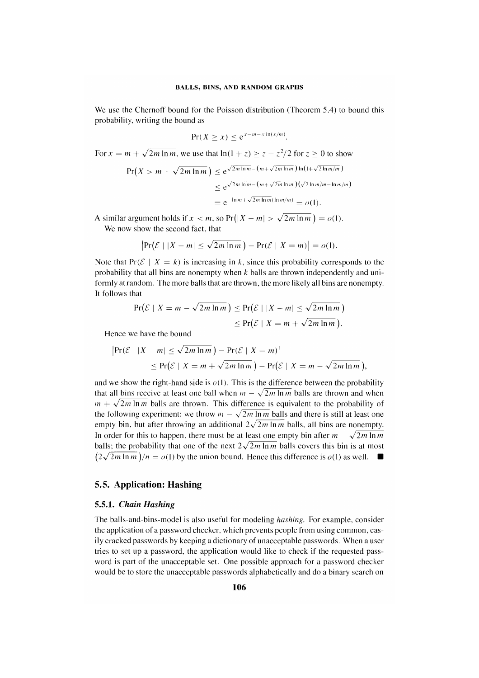We use the Chernoff bound for the Poisson distribution (Theorem 5.4) to bound this probability, writing the bound as

$$
\Pr(X \ge x) \le e^{x - m - x \ln(x/m)}.
$$

For  $x = m + \sqrt{2m \ln m}$ , we use that  $\ln(1+z) \ge z - z^2/2$  for  $z \ge 0$  to show

$$
\Pr(X > m + \sqrt{2m \ln m}) \le e^{\sqrt{2m \ln m} - (m + \sqrt{2m \ln m}) \ln(1 + \sqrt{2\ln m/m})}
$$
  

$$
\le e^{\sqrt{2m \ln m} - (m + \sqrt{2m \ln m})(\sqrt{2\ln m/m} - \ln m/m)}
$$
  

$$
= e^{-\ln m + \sqrt{2m \ln m} (\ln m/m)} = o(1).
$$

A similar argument holds if  $x < m$ , so  $Pr(|X - m| > \sqrt{2m \ln m}) = o(1)$ .

We now show the second fact, that

$$
\left|\Pr\left(\mathcal{E} \mid |X-m| \leq \sqrt{2m \ln m}\,\right) - \Pr(\mathcal{E} \mid X=m)\right| = o(1).
$$

Note that  $Pr(\mathcal{E} \mid X = k)$  is increasing in k, since this probability corresponds to the probability that all bins are nonempty when  $k$  balls are thrown independently and uniformly at random. The more balls that are thrown, the more likely all bins are nonempty. It follows that

$$
\Pr(\mathcal{E} \mid X = m - \sqrt{2m \ln m}) \le \Pr(\mathcal{E} \mid |X - m| \le \sqrt{2m \ln m})
$$
  
\$\le \Pr(\mathcal{E} \mid X = m + \sqrt{2m \ln m}).\$

Hence we have the bound

$$
|\Pr(\mathcal{E} \mid |X - m| \le \sqrt{2m \ln m}) - \Pr(\mathcal{E} \mid X = m)|
$$
  
\$\le \Pr(\mathcal{E} \mid X = m + \sqrt{2m \ln m}) - \Pr(\mathcal{E} \mid X = m - \sqrt{2m \ln m}),\$

and we show the right-hand side is  $o(1)$ . This is the difference between the probability that all bins receive at least one ball when  $m - \sqrt{2m \ln m}$  balls are thrown and when  $m + \sqrt{2m \ln m}$  balls are thrown. This difference is equivalent to the probability of the following experiment: we throw  $m - \sqrt{2m \ln m}$  balls and there is still at least one empty bin, but after throwing an additional  $2\sqrt{2m \ln m}$  balls, all bins are nonempty. In order for this to happen, there must be at least one empty bin after  $m - \sqrt{2m \ln m}$ balls; the probability that one of the next  $2\sqrt{2m \ln m}$  balls covers this bin is at most  $(2\sqrt{2m \ln m})/n = o(1)$  by the union bound. Hence this difference is  $o(1)$  as well.  $\blacksquare$ 

# 5.5. Application: Hashing

# *5.5.1. Chain Hashing*

The balls-and-bins-model is also useful for modeling *hashing.* For example, consider the application of a password checker, which prevents people from using common, easily cracked passwords by keeping a dictionary of unacceptable passwords. When a user tries to set up a password, the application would like to check if the requested password is part of the unacceptable set. One possible approach for a password checker would be to store the unacceptable passwords alphabetically and do a binary search on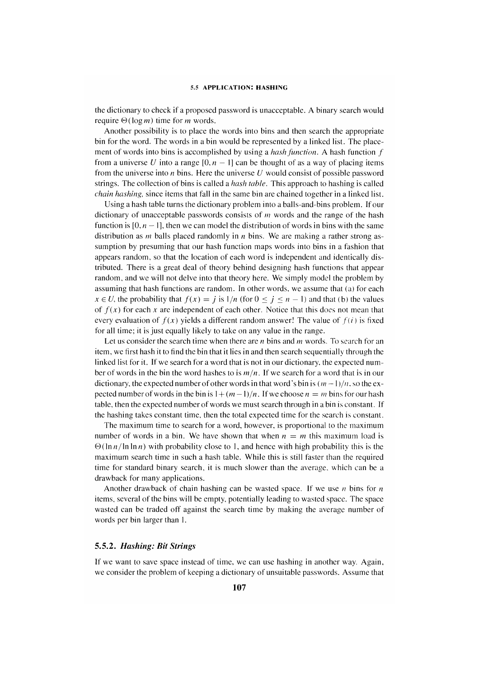the dictionary to check if a proposed password is unacceptable. A binary search would require  $\Theta(\log m)$  time for *m* words.

Another possibility is to place the words into bins and then search the appropriate bin for the word. The words in a bin would be represented by a linked list. The placement of words into bins is accomplished by using a *hash function.* A hash function *f*  from a universe *U* into a range  $[0, n - 1]$  can be thought of as a way of placing items from the universe into *n* bins. Here the universe *U* would consist of possible password strings. The collection of bins is called a *hash table.* This approach to hashing is called *chain hashing,* since items that fall in the same bin are chained together in a linked list.

Using a hash table turns the dictionary problem into a balls-and-bins problem. If our dictionary of unacceptable passwords consists of *m* words and the range of the hash function is  $[0, n-1]$ , then we can model the distribution of words in bins with the same distribution as *m* balls placed randomly in *n* bins. We are making a rather strong assumption by presuming that our hash function maps words into bins in a fashion that appears random, so that the location of each word is independent and identically distributed. There is a great deal of theory behind designing hash functions that appear random, and we will not delve into that theory here. We simply model the problem by assuming that hash functions are random. In other words, we assume that (a) for each  $x \in U$ , the probability that  $f(x) = j$  is  $1/n$  (for  $0 \le j \le n - 1$ ) and that (b) the values of  $f(x)$  for each x are independent of each other. Notice that this does not mean that every evaluation of  $f(x)$  yields a different random answer! The value of  $f(i)$  is fixed for all time; it is just equally likely to take on any value in the range.

Let us consider the search time when there are *n* bins and *m* words. To search for an item, we first hash it to find the bin that it lies in and then search sequentially through the linked list for it. If we search for a word that is not in our dictionary, the expected number of words in the bin the word hashes to is *m/n.* If we search for a word that is in our dictionary, the expected number of other words in that word's bin is  $(m-1)/n$ , so the expected number of words in the bin is  $1 + (m-1)/n$ . If we choose  $n = m$  bins for our hash table, then the expected number of words we must search through in a bin is constant. If the hashing takes constant time, then the total expected time for the search is constant.

The maximum time to search for a word, however, is proportional to the maximum number of words in a bin. We have shown that when  $n = m$  this maximum load is  $\Theta(\ln n/\ln \ln n)$  with probability close to 1, and hence with high probability this is the maximum search time in such a hash table. While this is still faster than the required time for standard binary search, it is much slower than the average, which can be a drawback for many applications.

Another drawback of chain hashing can be wasted space. If we use  $n$  bins for  $n$ items, several of the bins will be empty, potentially leading to wasted space. The space wasted can be traded off against the search time by making the average number of words per bin larger than 1.

### *5.5.2. Hashing: Bit Strings*

If we want to save space instead of time, we can use hashing in another way. Again, we consider the problem of keeping a dictionary of unsuitable passwords. Assume that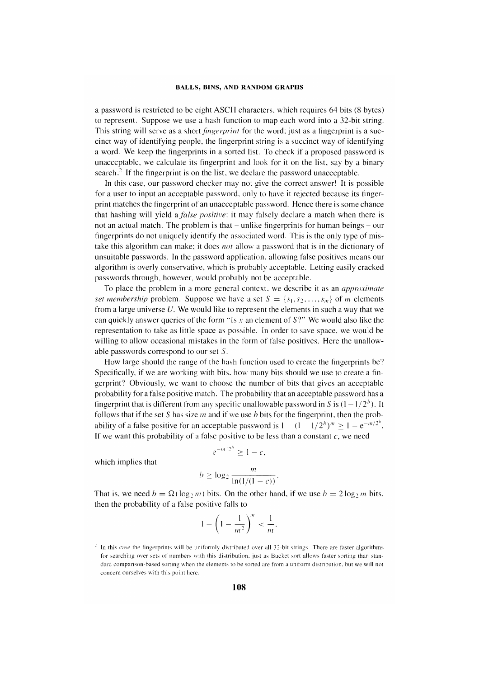a password is restricted to be eight ASCII characters, which requires 64 bits (8 bytes) to represent. Suppose we use a hash function to map each word into a 32-bit string. This string will serve as a short *fingerprint* for the word; just as a fingerprint is a succinct way of identifying people, the fingerprint string is a succinct way of identifying a word. We keep the fingerprints in a sorted list. To check if a proposed password is unacceptable, we calculate its fingerprint and look for it on the list, say by a binary search.<sup>2</sup> If the fingerprint is on the list, we declare the password unacceptable.

In this case, our password checker may not give the correct answer! It is possible for a user to input an acceptable password, only to have it rejected because its fingerprint matches the fingerprint of an unacceptable password. Hence there is some chance that hashing will yield *afalse positive:* it may falsely declare a match when there is not an actual match. The problem is that  $-$  unlike fingerprints for human beings  $-$  our fingerprints do not uniquely identify the associated word. This is the only type of mistake this algorithm can make; it does *not* allow a password that is in the dictionary of unsuitable passwords. In the password application, allowing false positives means our algorithm is overly conservative, which is probably acceptable. Letting easily cracked passwords through, however, would probably not be acceptable.

To place the problem in a more general context. we describe it as an *approximate set membership* problem. Suppose we have a set  $S = \{s_1, s_2, \ldots, s_m\}$  of *m* elements from a large universe  $U$ . We would like to represent the elements in such a way that we can quickly answer queries of the form "Is *x* an element of 57" We would also like the representation to take as little space as possible. In order to save space, we would be willing to allow occasional mistakes in the form of false positives. Here the unallowable passwords correspond to our set S.

How large should the range of the hash function used to create the fingerprints be? Specifically, if we are working with bits, how many bits should we use to create a fingerprint? Obviously, we want to choose the number of bits that gives an acceptable probability for a false positive match. The probability that an acceptable password has a fingerprint that is different from any specific unallowable password in S is  $(1-1/2<sup>b</sup>)$ . It follows that if the set 5 has size *m* and if we use b bits for the fingerprint, then the probability of a false positive for an acceptable password is  $1 - (1 - 1/2^b)^m \ge 1 - e^{-m/2^b}$ . If we want this probability of a false positive to be less than a constant  $c$ , we need

which implies that 
$$
b \ge \log_2 \frac{m}{\ln(1/(1-c))}.
$$

 $e^{-m/2^b} > 1 - c$ ,

That is, we need  $b = \Omega(\log_2 m)$  bits. On the other hand, if we use  $b = 2\log_2 m$  bits, then the probability of a false positive falls to

$$
1-\left(1-\frac{1}{m^2}\right)^m < \frac{1}{m}.
$$

 $\frac{1}{2}$  In this case the fingerprints will be uniformly distributed over all 32-bit strings. There are faster algorithms for searching over sets of numbers with this distribution, just as Bucket sort allows faster sorting than standard comparison-based sorting when the elements to he sorted are from a uniform distribution. but we will not concern ourselves with this point here.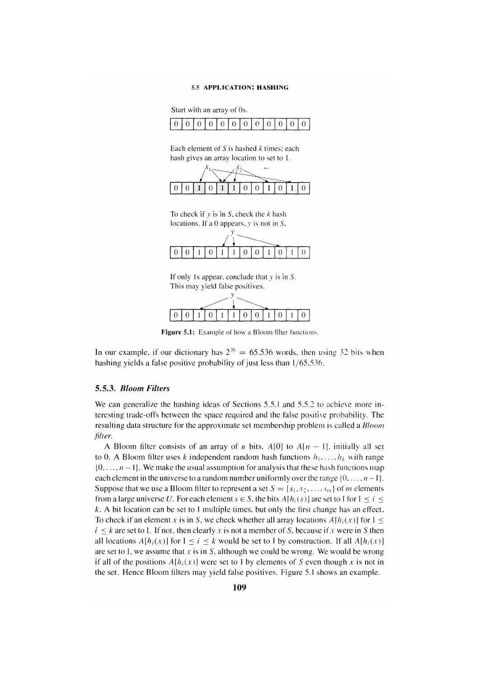#### 5.5 APPLICATION: HASHING

Start with an array of Os.



Each element of 5 is hashed *k* times; each hash gives an array location to set to 1.



To check if *y* is in 5, check the k hash locations. If a 0 appears, *y* is not in S.



If only 1s appear, conclude that *y* is in *S*. This may yield false positives.



Figure 5.1: Example of how a Bloom filter functions.

In our example, if our dictionary has  $2^{16} = 65,536$  words, then using 32 bits when hashing yields a false positive probability of just less than 1/65,536.

# *5.5.3. Bloom Filters*

We can generalize the hashing ideas of Sections 5.5.1 and 5.5.2 to achieve more interesting trade-offs between the space required and the false positive probability. The resulting data structure for the approximate set membership problem is called a *Bloom filter.* 

A Bloom filter consists of an array of *n* bits,  $A[0]$  to  $A[n - 1]$ . initially all set to 0. A Bloom filter uses k independent random hash functions  $h_1, \ldots, h_k$  with range  $\{0, \ldots, n-1\}$ . We make the usual assumption for analysis that these hash functions map each element in the universe to a random number uniformly over the range  $\{0, \ldots, n-1\}$ . Suppose that we use a Bloom filter to represent a set  $S = \{s_1, s_2, \ldots, s_m\}$  of *m* elements from a large universe U. For each element  $s \in S$ , the bits  $A[h_i(s)]$  are set to 1 for  $1 \le i \le$ k. A bit location can be set to I multiple times, but only the first change has an effect. To check if an element x is in S, we check whether all array locations  $A[h_i(x)]$  for  $1 \le$  $i \leq k$  are set to 1. If not, then clearly *x* is not a member of *S*, because if *x* were in *S* then all locations  $A[h_i(x)]$  for  $1 \le i \le k$  would be set to 1 by construction. If all  $A[h_i(x)]$ are set to 1, we assume that  $x$  is in  $S$ , although we could be wrong. We would be wrong if all of the positions  $A[h_i(x)]$  were set to 1 by elements of S even though x is not in the set. Hence Bloom filters may yield false positives. Figure 5.1 shows an example.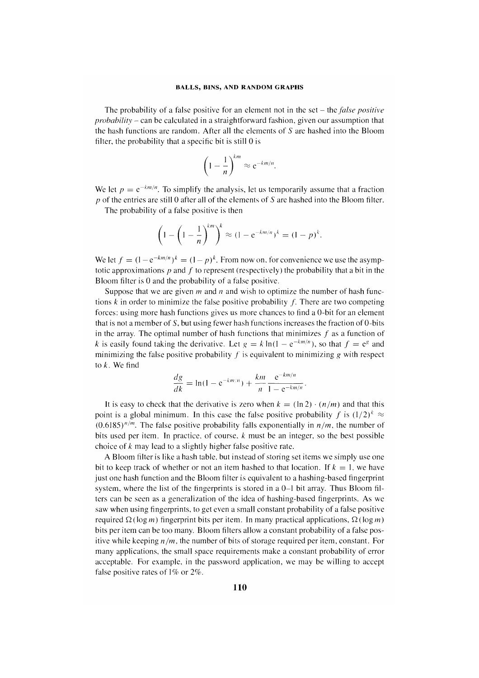The probability of a false positive for an element not in the set - the *false positive probability* - can be calculated in a straightforward fashion, given our assumption that the hash functions are random. After all the elements of 5 are hashed into the Bloom filter, the probability that a specific bit is still 0 is

$$
\left(1-\frac{1}{n}\right)^{km} \approx e^{-km/n}.
$$

We let  $p = e^{-km/n}$ . To simplify the analysis, let us temporarily assume that a fraction *p* of the entries are still 0 after all of the elements of 5 are hashed into the Bloom filter.

The probability of a false positive is then

$$
\left(1-\left(1-\frac{1}{n}\right)^{km}\right)^k \approx (1-e^{-km/n})^k = (1-p)^k.
$$

We let  $f = (1 - e^{-km/n})^k = (1 - p)^k$ . From now on, for convenience we use the asymptotic approximations  $p$  and  $f$  to represent (respectively) the probability that a bit in the Bloom filter is 0 and the probability of a false positive.

Suppose that we are given  $m$  and  $n$  and wish to optimize the number of hash functions  $k$  in order to minimize the false positive probability  $f$ . There are two competing forces: using more hash functions gives us more chances to find a O-bit for an element that is not a member of  $S$ , but using fewer hash functions increases the fraction of  $0$ -bits in the array. The optimal number of hash functions that minimizes  $f$  as a function of k is easily found taking the derivative. Let  $g = k \ln(1 - e^{-km/n})$ , so that  $f = e^g$  and minimizing the false positive probability  $f$  is equivalent to minimizing  $g$  with respect to *k.* We find

$$
\frac{dg}{dk} = \ln(1 - e^{-km/n}) + \frac{km}{n} \frac{e^{-km/n}}{1 - e^{-km/n}}.
$$

It is easy to check that the derivative is zero when  $k = (\ln 2) \cdot (n/m)$  and that this point is a global minimum. In this case the false positive probability f is  $(1/2)^k$   $\approx$  $(0.6185)^{n/m}$ . The false positive probability falls exponentially in  $n/m$ , the number of bits used per item. In practice, of course,  $k$  must be an integer, so the best possible choice of k may lead to a slightly higher false positive rate.

A Bloom filter is like a hash table. but instead of storing set items we simply use one bit to keep track of whether or not an item hashed to that location. If  $k = 1$ , we have just one hash function and the Bloom filter is equivalent to a hashing-based fingerprint system, where the list of the fingerprints is stored in a  $0-1$  bit array. Thus Bloom filters can be seen as a generalization of the idea of hashing-based fingerprints. As we saw when using fingerprints, to get even a small constant probability of a false positive required  $\Omega(\log m)$  fingerprint bits per item. In many practical applications,  $\Omega(\log m)$ bits per item can be too many. Bloom filters allow a constant probability of a false positive while keeping  $n/m$ , the number of bits of storage required per item, constant. For many applications, the small space requirements make a constant probability of error acceptable. For example, in the password application, we may be willing to accept false positive rates of  $1\%$  or  $2\%$ .